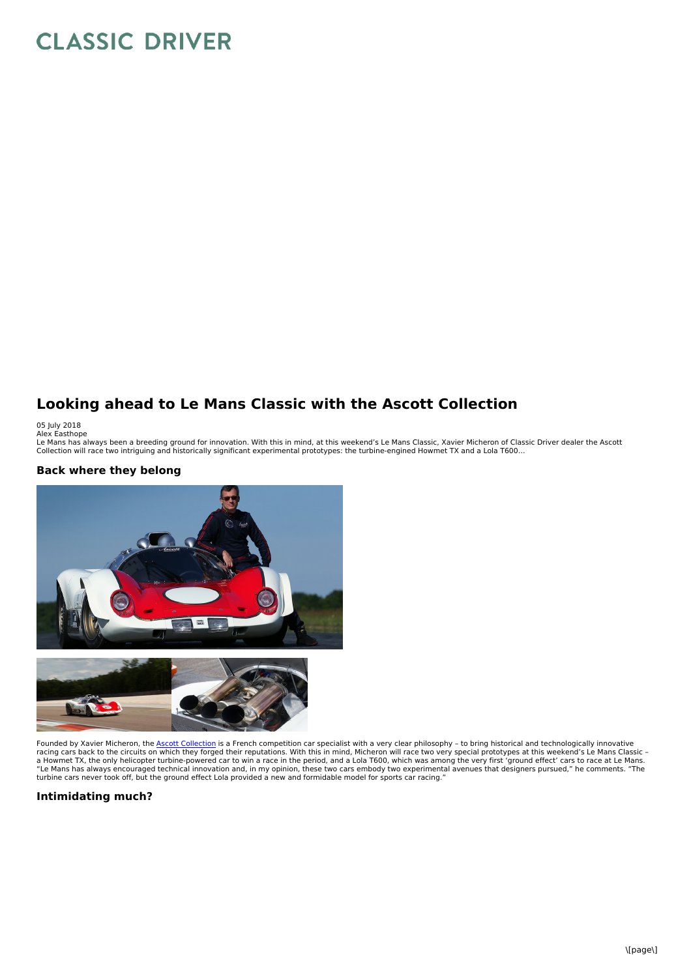## **CLASSIC DRIVER**

## **Looking ahead to Le Mans Classic with the Ascott Collection**

05 July 2018<br>Alex Easthope<br>Le Mans has always been a breeding ground for innovation. With this in mind, at this weekend's Le Mans Classic, Xavier Micheron of Classic Driver dealer the Ascott<br>Le Mans has always been a breed

## **Back where they belong**



Founded by Xavier Micheron, the Ascott [Collection](https://www.classicdriver.com/en/dealer/ascott-collection?) is a French competition car specialist with a very clear philosophy - to bring historical and technologically innovative racing cars back to the circuits on which they forged their reputations. With this in mind, Micheron will race two very special prototypes at this weekend's Le Mans Classic -<br>a Howmet TX, the only helicopter turbine-powere turbine cars never took off, but the ground effect Lola provided a new and formidable model for sports car racing."

## **Intimidating much?**